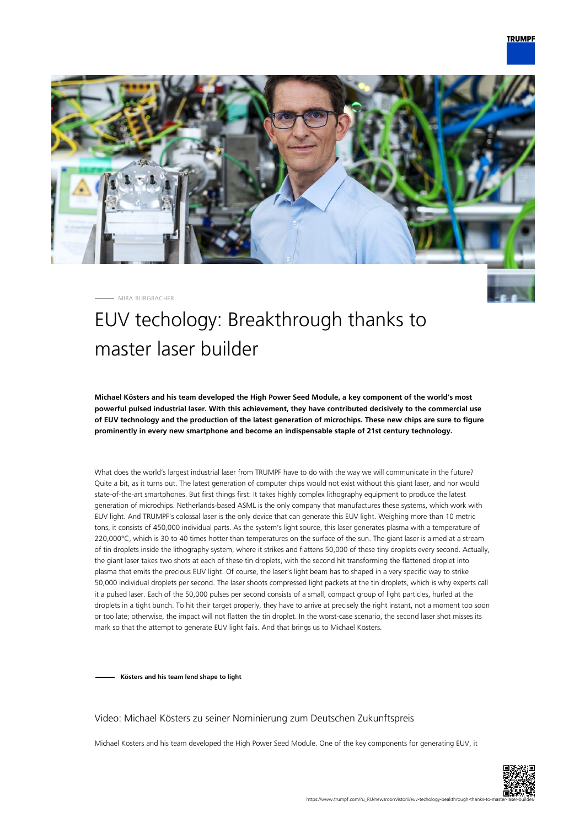

MIRA BURGBACHER

# EUV techology: Breakthrough thanks to master laser builder

**Michael Kösters and his team developed the High Power Seed Module, a key component of the world's most powerful pulsed industrial laser. With this achievement, they have contributed decisively to the commercial use of EUV technology and the production of the latest generation of microchips. These new chips are sure to figure prominently in every new smartphone and become an indispensable staple of 21st century technology.**

What does the world's largest industrial laser from TRUMPF have to do with the way we will communicate in the future? Quite a bit, as it turns out. The latest generation of computer chips would not exist without this giant laser, and nor would state-of-the-art smartphones. But first things first: It takes highly complex lithography equipment to produce the latest generation of microchips. Netherlands-based ASML is the only company that manufactures these systems, which work with EUV light. And TRUMPF's colossal laser is the only device that can generate this EUV light. Weighing more than 10 metric tons, it consists of 450,000 individual parts. As the system's light source, this laser generates plasma with a temperature of 220,000°C, which is 30 to 40 times hotter than temperatures on the surface of the sun. The giant laser is aimed at a stream of tin droplets inside the lithography system, where it strikes and flattens 50,000 of these tiny droplets every second. Actually, the giant laser takes two shots at each of these tin droplets, with the second hit transforming the flattened droplet into plasma that emits the precious EUV light. Of course, the laser's light beam has to shaped in a very specific way to strike 50,000 individual droplets per second. The laser shoots compressed light packets at the tin droplets, which is why experts call it a pulsed laser. Each of the 50,000 pulses per second consists of a small, compact group of light particles, hurled at the droplets in a tight bunch. To hit their target properly, they have to arrive at precisely the right instant, not a moment too soon or too late; otherwise, the impact will not flatten the tin droplet. In the worst-case scenario, the second laser shot misses its mark so that the attempt to generate EUV light fails. And that brings us to Michael Kösters.

**Kösters and his team lend shape to light**

#### Video: Michael Kösters zu seiner Nominierung zum Deutschen Zukunftspreis

Michael Kösters and his team developed the High Power Seed Module. One of the key components for generating EUV, it

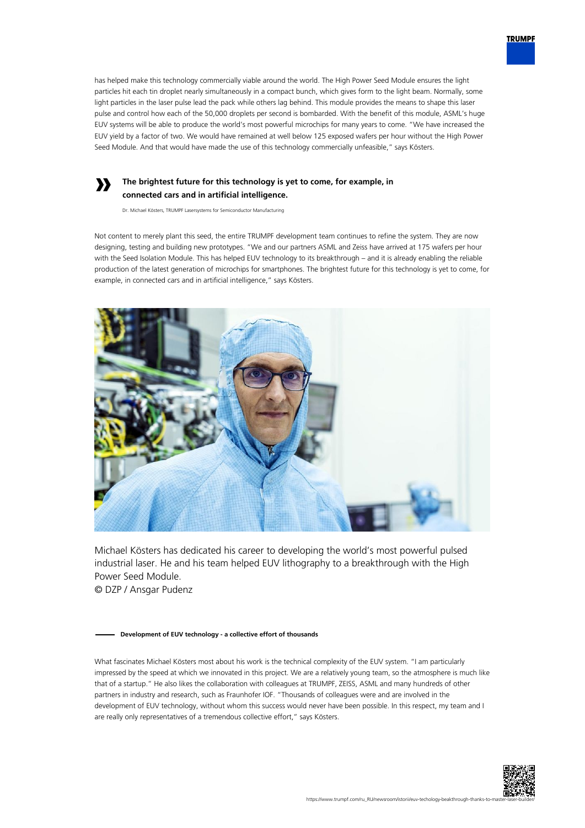

### **The brightest future for this technology is yet to come, for example, in connected cars and in artificial intelligence.**

Dr. Michael Kösters, TRUMPF Lasersystems for Semiconductor Manufacturing

**»**

Not content to merely plant this seed, the entire TRUMPF development team continues to refine the system. They are now designing, testing and building new prototypes. "We and our partners ASML and Zeiss have arrived at 175 wafers per hour with the Seed Isolation Module. This has helped EUV technology to its breakthrough – and it is already enabling the reliable production of the latest generation of microchips for smartphones. The brightest future for this technology is yet to come, for example, in connected cars and in artificial intelligence," says Kösters.



Michael Kösters has dedicated his career to developing the world's most powerful pulsed industrial laser. He and his team helped EUV lithography to a breakthrough with the High Power Seed Module.

© DZP / Ansgar Pudenz

#### **Development of EUV technology - a collective effort of thousands**

What fascinates Michael Kösters most about his work is the technical complexity of the EUV system. "I am particularly impressed by the speed at which we innovated in this project. We are a relatively young team, so the atmosphere is much like that of a startup." He also likes the collaboration with colleagues at TRUMPF, ZEISS, ASML and many hundreds of other partners in industry and research, such as Fraunhofer IOF. "Thousands of colleagues were and are involved in the development of EUV technology, without whom this success would never have been possible. In this respect, my team and I are really only representatives of a tremendous collective effort," says Kösters.



**TRUMPF**